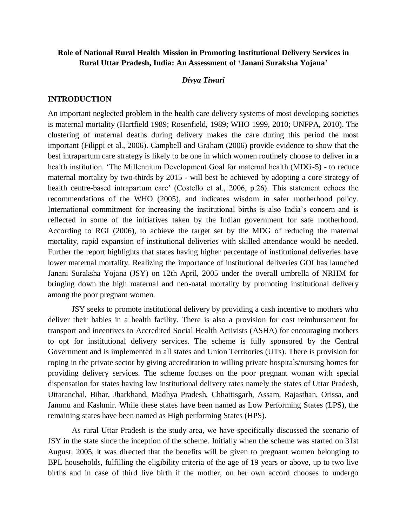# **Role of National Rural Health Mission in Promoting Institutional Delivery Services in Rural Uttar Pradesh, India: An Assessment of 'Janani Suraksha Yojana'**

### *Divya Tiwari*

## **INTRODUCTION**

An important neglected problem in the h**e**alth care delivery systems of most developing societies is maternal mortality (Hartfield 1989; Rosenfield, 1989; WHO 1999, 2010; UNFPA, 2010). The clustering of maternal deaths during delivery makes the care during this period the most important (Filippi et al., 2006). Campbell and Graham (2006) provide evidence to show that the best intrapartum care strategy is likely to be one in which women routinely choose to deliver in a health institution. 'The Millennium Development Goal for maternal health (MDG-5) - to reduce maternal mortality by two-thirds by 2015 - will best be achieved by adopting a core strategy of health centre-based intrapartum care' (Costello et al., 2006, p.26). This statement echoes the recommendations of the WHO (2005), and indicates wisdom in safer motherhood policy. International commitment for increasing the institutional births is also India's concern and is reflected in some of the initiatives taken by the Indian government for safe motherhood. According to RGI (2006), to achieve the target set by the MDG of reducing the maternal mortality, rapid expansion of institutional deliveries with skilled attendance would be needed. Further the report highlights that states having higher percentage of institutional deliveries have lower maternal mortality. Realizing the importance of institutional deliveries GOI has launched Janani Suraksha Yojana (JSY) on 12th April, 2005 under the overall umbrella of NRHM for bringing down the high maternal and neo-natal mortality by promoting institutional delivery among the poor pregnant women.

JSY seeks to promote institutional delivery by providing a cash incentive to mothers who deliver their babies in a health facility. There is also a provision for cost reimbursement for transport and incentives to Accredited Social Health Activists (ASHA) for encouraging mothers to opt for institutional delivery services. The scheme is fully sponsored by the Central Government and is implemented in all states and Union Territories (UTs). There is provision for roping in the private sector by giving accreditation to willing private hospitals/nursing homes for providing delivery services. The scheme focuses on the poor pregnant woman with special dispensation for states having low institutional delivery rates namely the states of Uttar Pradesh, Uttaranchal, Bihar, Jharkhand, Madhya Pradesh, Chhattisgarh, Assam, Rajasthan, Orissa, and Jammu and Kashmir. While these states have been named as Low Performing States (LPS), the remaining states have been named as High performing States (HPS).

As rural Uttar Pradesh is the study area, we have specifically discussed the scenario of JSY in the state since the inception of the scheme. Initially when the scheme was started on 31st August, 2005, it was directed that the benefits will be given to pregnant women belonging to BPL households, fulfilling the eligibility criteria of the age of 19 years or above, up to two live births and in case of third live birth if the mother, on her own accord chooses to undergo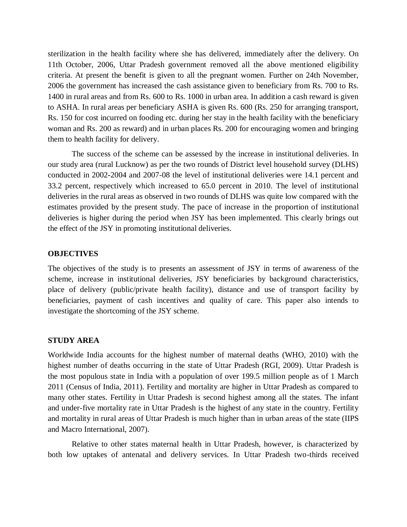sterilization in the health facility where she has delivered, immediately after the delivery. On 11th October, 2006, Uttar Pradesh government removed all the above mentioned eligibility criteria. At present the benefit is given to all the pregnant women. Further on 24th November, 2006 the government has increased the cash assistance given to beneficiary from Rs. 700 to Rs. 1400 in rural areas and from Rs. 600 to Rs. 1000 in urban area. In addition a cash reward is given to ASHA. In rural areas per beneficiary ASHA is given Rs. 600 (Rs. 250 for arranging transport, Rs. 150 for cost incurred on fooding etc. during her stay in the health facility with the beneficiary woman and Rs. 200 as reward) and in urban places Rs. 200 for encouraging women and bringing them to health facility for delivery.

The success of the scheme can be assessed by the increase in institutional deliveries. In our study area (rural Lucknow) as per the two rounds of District level household survey (DLHS) conducted in 2002-2004 and 2007-08 the level of institutional deliveries were 14.1 percent and 33.2 percent, respectively which increased to 65.0 percent in 2010. The level of institutional deliveries in the rural areas as observed in two rounds of DLHS was quite low compared with the estimates provided by the present study. The pace of increase in the proportion of institutional deliveries is higher during the period when JSY has been implemented. This clearly brings out the effect of the JSY in promoting institutional deliveries.

## **OBJECTIVES**

The objectives of the study is to presents an assessment of JSY in terms of awareness of the scheme, increase in institutional deliveries, JSY beneficiaries by background characteristics, place of delivery (public/private health facility), distance and use of transport facility by beneficiaries, payment of cash incentives and quality of care. This paper also intends to investigate the shortcoming of the JSY scheme.

### **STUDY AREA**

Worldwide India accounts for the highest number of maternal deaths (WHO, 2010) with the highest number of deaths occurring in the state of Uttar Pradesh (RGI, 2009). Uttar Pradesh is the most populous state in India with a population of over 199.5 million people as of 1 March 2011 (Census of India, 2011). Fertility and mortality are higher in Uttar Pradesh as compared to many other states. Fertility in Uttar Pradesh is second highest among all the states. The infant and under-five mortality rate in Uttar Pradesh is the highest of any state in the country. Fertility and mortality in rural areas of Uttar Pradesh is much higher than in urban areas of the state (IIPS and Macro International, 2007).

Relative to other states maternal health in Uttar Pradesh, however, is characterized by both low uptakes of antenatal and delivery services. In Uttar Pradesh two-thirds received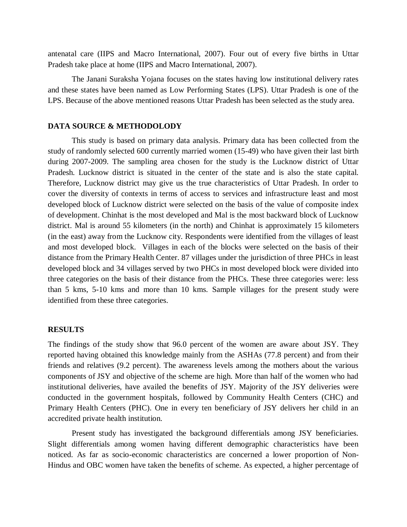antenatal care (IIPS and Macro International, 2007). Four out of every five births in Uttar Pradesh take place at home (IIPS and Macro International, 2007).

The Janani Suraksha Yojana focuses on the states having low institutional delivery rates and these states have been named as Low Performing States (LPS). Uttar Pradesh is one of the LPS. Because of the above mentioned reasons Uttar Pradesh has been selected as the study area.

### **DATA SOURCE & METHODOLODY**

This study is based on primary data analysis. Primary data has been collected from the study of randomly selected 600 currently married women (15-49) who have given their last birth during 2007-2009. The sampling area chosen for the study is the Lucknow district of Uttar Pradesh. Lucknow district is situated in the center of the state and is also the state capital. Therefore, Lucknow district may give us the true characteristics of Uttar Pradesh. In order to cover the diversity of contexts in terms of access to services and infrastructure least and most developed block of Lucknow district were selected on the basis of the value of composite index of development. Chinhat is the most developed and Mal is the most backward block of Lucknow district. Mal is around 55 kilometers (in the north) and Chinhat is approximately 15 kilometers (in the east) away from the Lucknow city. Respondents were identified from the villages of least and most developed block. Villages in each of the blocks were selected on the basis of their distance from the Primary Health Center. 87 villages under the jurisdiction of three PHCs in least developed block and 34 villages served by two PHCs in most developed block were divided into three categories on the basis of their distance from the PHCs. These three categories were: less than 5 kms, 5-10 kms and more than 10 kms. Sample villages for the present study were identified from these three categories.

## **RESULTS**

The findings of the study show that 96.0 percent of the women are aware about JSY. They reported having obtained this knowledge mainly from the ASHAs (77.8 percent) and from their friends and relatives (9.2 percent). The awareness levels among the mothers about the various components of JSY and objective of the scheme are high. More than half of the women who had institutional deliveries, have availed the benefits of JSY. Majority of the JSY deliveries were conducted in the government hospitals, followed by Community Health Centers (CHC) and Primary Health Centers (PHC). One in every ten beneficiary of JSY delivers her child in an accredited private health institution.

Present study has investigated the background differentials among JSY beneficiaries. Slight differentials among women having different demographic characteristics have been noticed. As far as socio-economic characteristics are concerned a lower proportion of Non-Hindus and OBC women have taken the benefits of scheme. As expected, a higher percentage of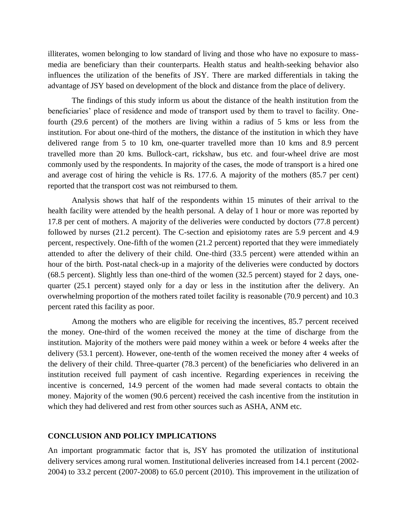illiterates, women belonging to low standard of living and those who have no exposure to massmedia are beneficiary than their counterparts. Health status and health-seeking behavior also influences the utilization of the benefits of JSY. There are marked differentials in taking the advantage of JSY based on development of the block and distance from the place of delivery.

The findings of this study inform us about the distance of the health institution from the beneficiaries' place of residence and mode of transport used by them to travel to facility. Onefourth (29.6 percent) of the mothers are living within a radius of 5 kms or less from the institution. For about one-third of the mothers, the distance of the institution in which they have delivered range from 5 to 10 km, one-quarter travelled more than 10 kms and 8.9 percent travelled more than 20 kms. Bullock-cart, rickshaw, bus etc. and four-wheel drive are most commonly used by the respondents. In majority of the cases, the mode of transport is a hired one and average cost of hiring the vehicle is Rs. 177.6. A majority of the mothers (85.7 per cent) reported that the transport cost was not reimbursed to them.

Analysis shows that half of the respondents within 15 minutes of their arrival to the health facility were attended by the health personal. A delay of 1 hour or more was reported by 17.8 per cent of mothers. A majority of the deliveries were conducted by doctors (77.8 percent) followed by nurses (21.2 percent). The C-section and episiotomy rates are 5.9 percent and 4.9 percent, respectively. One-fifth of the women (21.2 percent) reported that they were immediately attended to after the delivery of their child. One-third (33.5 percent) were attended within an hour of the birth. Post-natal check-up in a majority of the deliveries were conducted by doctors (68.5 percent). Slightly less than one-third of the women (32.5 percent) stayed for 2 days, onequarter (25.1 percent) stayed only for a day or less in the institution after the delivery. An overwhelming proportion of the mothers rated toilet facility is reasonable (70.9 percent) and 10.3 percent rated this facility as poor.

Among the mothers who are eligible for receiving the incentives, 85.7 percent received the money. One-third of the women received the money at the time of discharge from the institution. Majority of the mothers were paid money within a week or before 4 weeks after the delivery (53.1 percent). However, one-tenth of the women received the money after 4 weeks of the delivery of their child. Three-quarter (78.3 percent) of the beneficiaries who delivered in an institution received full payment of cash incentive. Regarding experiences in receiving the incentive is concerned, 14.9 percent of the women had made several contacts to obtain the money. Majority of the women (90.6 percent) received the cash incentive from the institution in which they had delivered and rest from other sources such as ASHA, ANM etc.

#### **CONCLUSION AND POLICY IMPLICATIONS**

An important programmatic factor that is, JSY has promoted the utilization of institutional delivery services among rural women. Institutional deliveries increased from 14.1 percent (2002- 2004) to 33.2 percent (2007-2008) to 65.0 percent (2010). This improvement in the utilization of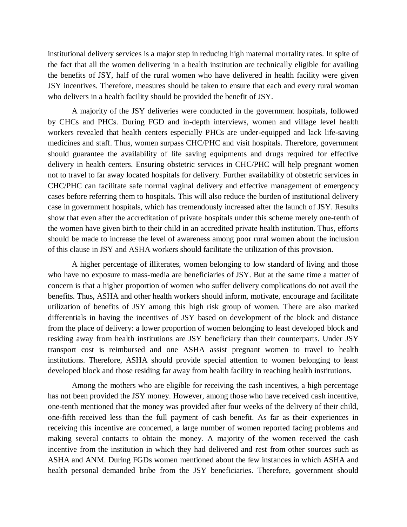institutional delivery services is a major step in reducing high maternal mortality rates. In spite of the fact that all the women delivering in a health institution are technically eligible for availing the benefits of JSY, half of the rural women who have delivered in health facility were given JSY incentives. Therefore, measures should be taken to ensure that each and every rural woman who delivers in a health facility should be provided the benefit of JSY.

A majority of the JSY deliveries were conducted in the government hospitals, followed by CHCs and PHCs. During FGD and in-depth interviews, women and village level health workers revealed that health centers especially PHCs are under-equipped and lack life-saving medicines and staff. Thus, women surpass CHC/PHC and visit hospitals. Therefore, government should guarantee the availability of life saving equipments and drugs required for effective delivery in health centers. Ensuring obstetric services in CHC/PHC will help pregnant women not to travel to far away located hospitals for delivery. Further availability of obstetric services in CHC/PHC can facilitate safe normal vaginal delivery and effective management of emergency cases before referring them to hospitals. This will also reduce the burden of institutional delivery case in government hospitals, which has tremendously increased after the launch of JSY. Results show that even after the accreditation of private hospitals under this scheme merely one-tenth of the women have given birth to their child in an accredited private health institution. Thus, efforts should be made to increase the level of awareness among poor rural women about the inclusion of this clause in JSY and ASHA workers should facilitate the utilization of this provision.

A higher percentage of illiterates, women belonging to low standard of living and those who have no exposure to mass-media are beneficiaries of JSY. But at the same time a matter of concern is that a higher proportion of women who suffer delivery complications do not avail the benefits. Thus, ASHA and other health workers should inform, motivate, encourage and facilitate utilization of benefits of JSY among this high risk group of women. There are also marked differentials in having the incentives of JSY based on development of the block and distance from the place of delivery: a lower proportion of women belonging to least developed block and residing away from health institutions are JSY beneficiary than their counterparts. Under JSY transport cost is reimbursed and one ASHA assist pregnant women to travel to health institutions. Therefore, ASHA should provide special attention to women belonging to least developed block and those residing far away from health facility in reaching health institutions.

Among the mothers who are eligible for receiving the cash incentives, a high percentage has not been provided the JSY money. However, among those who have received cash incentive, one-tenth mentioned that the money was provided after four weeks of the delivery of their child, one-fifth received less than the full payment of cash benefit. As far as their experiences in receiving this incentive are concerned, a large number of women reported facing problems and making several contacts to obtain the money. A majority of the women received the cash incentive from the institution in which they had delivered and rest from other sources such as ASHA and ANM. During FGDs women mentioned about the few instances in which ASHA and health personal demanded bribe from the JSY beneficiaries. Therefore, government should